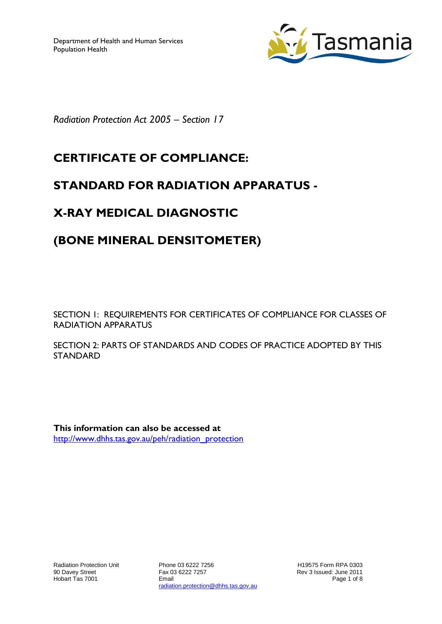

*Radiation Protection Act 2005 – Section 17*

## **CERTIFICATE OF COMPLIANCE:**

### **STANDARD FOR RADIATION APPARATUS -**

# **X-RAY MEDICAL DIAGNOSTIC**

## **(BONE MINERAL DENSITOMETER)**

SECTION 1: REQUIREMENTS FOR CERTIFICATES OF COMPLIANCE FOR CLASSES OF RADIATION APPARATUS

SECTION 2: PARTS OF STANDARDS AND CODES OF PRACTICE ADOPTED BY THIS STANDARD

**This information can also be accessed at** [http://www.dhhs.tas.gov.au/peh/radiation\\_protection](http://www.dhhs.tas.gov.au/peh/radiation_protection)

Phone 03 6222 7256 Fax 03 6222 7257 Email radiation.protection@dhhs.tas.gov.au

H19575 Form RPA 0303 Rev 3 Issued: June 2011 Page 1 of 8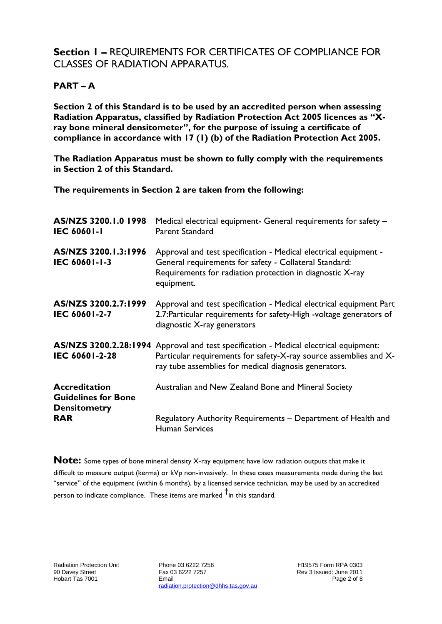### **Section 1 –** REQUIREMENTS FOR CERTIFICATES OF COMPLIANCE FOR CLASSES OF RADIATION APPARATUS.

#### **PART – A**

**Section 2 of this Standard is to be used by an accredited person when assessing Radiation Apparatus, classified by Radiation Protection Act 2005 licences as "Xray bone mineral densitometer", for the purpose of issuing a certificate of compliance in accordance with 17 (1) (b) of the Radiation Protection Act 2005.**

**The Radiation Apparatus must be shown to fully comply with the requirements in Section 2 of this Standard.**

**The requirements in Section 2 are taken from the following:**

| AS/NZS 3200.1.0 1998<br><b>IEC 60601-1</b>                                | Medical electrical equipment- General requirements for safety -<br><b>Parent Standard</b>                                                                                                             |
|---------------------------------------------------------------------------|-------------------------------------------------------------------------------------------------------------------------------------------------------------------------------------------------------|
| AS/NZS 3200.1.3:1996<br>IEC 60601-1-3                                     | Approval and test specification - Medical electrical equipment -<br>General requirements for safety - Collateral Standard:<br>Requirements for radiation protection in diagnostic X-ray<br>equipment. |
| AS/NZS 3200.2.7:1999<br><b>IEC 60601-2-7</b>                              | Approval and test specification - Medical electrical equipment Part<br>2.7: Particular requirements for safety-High -voltage generators of<br>diagnostic X-ray generators                             |
| AS/NZS 3200.2.28:1994<br>IEC 60601-2-28                                   | Approval and test specification - Medical electrical equipment:<br>Particular requirements for safety-X-ray source assemblies and X-<br>ray tube assemblies for medical diagnosis generators.         |
| <b>Accreditation</b><br><b>Guidelines for Bone</b><br><b>Densitometry</b> | Australian and New Zealand Bone and Mineral Society                                                                                                                                                   |
| <b>RAR</b>                                                                | Regulatory Authority Requirements – Department of Health and<br><b>Human Services</b>                                                                                                                 |

**Note:** Some types of bone mineral density X-ray equipment have low radiation outputs that make it difficult to measure output (kerma) or kVp non-invasively. In these cases measurements made during the last "service" of the equipment (within 6 months), by a licensed service technician, may be used by an accredited person to indicate compliance. These items are marked **†** in this standard.

Phone 03 6222 7256 Fax 03 6222 7257 Email radiation.protection@dhhs.tas.gov.au

H19575 Form RPA 0303 Rev 3 Issued: June 2011 Page 2 of 8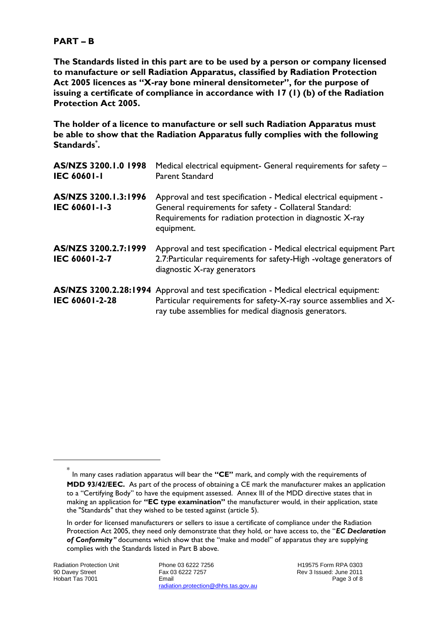#### **PART – B**

**The Standards listed in this part are to be used by a person or company licensed to manufacture or sell Radiation Apparatus, classified by Radiation Protection Act 2005 licences as "X-ray bone mineral densitometer", for the purpose of issuing a certificate of compliance in accordance with 17 (1) (b) of the Radiation Protection Act 2005.**

**The holder of a licence to manufacture or sell such Radiation Apparatus must be able to show that the Radiation Apparatus fully complies with the following Standards\* .**

| AS/NZS 3200.1.0 1998<br><b>IEC 60601-1</b> | Medical electrical equipment- General requirements for safety -<br><b>Parent Standard</b>                                                                                                             |
|--------------------------------------------|-------------------------------------------------------------------------------------------------------------------------------------------------------------------------------------------------------|
| AS/NZS 3200.1.3:1996<br>IEC 60601-1-3      | Approval and test specification - Medical electrical equipment -<br>General requirements for safety - Collateral Standard:<br>Requirements for radiation protection in diagnostic X-ray<br>equipment. |
| AS/NZS 3200.2.7:1999<br>IEC 60601-2-7      | Approval and test specification - Medical electrical equipment Part<br>2.7: Particular requirements for safety-High -voltage generators of<br>diagnostic X-ray generators                             |
| AS/NZS 3200.2.28:1994<br>IEC 60601-2-28    | Approval and test specification - Medical electrical equipment:<br>Particular requirements for safety-X-ray source assemblies and X-<br>ray tube assemblies for medical diagnosis generators.         |

-

Phone 03 6222 7256 Fax 03 6222 7257 Email radiation.protection@dhhs.tas.gov.au

<sup>\*</sup> In many cases radiation apparatus will bear the **"CE"** mark, and comply with the requirements of **MDD 93/42/EEC.** As part of the process of obtaining a CE mark the manufacturer makes an application to a "Certifying Body" to have the equipment assessed. Annex III of the MDD directive states that in making an application for **"EC type examination"** the manufacturer would, in their application, state the "Standards" that they wished to be tested against (article 5).

In order for licensed manufacturers or sellers to issue a certificate of compliance under the Radiation Protection Act 2005, they need only demonstrate that they hold, or have access to, the "*EC Declaration of Conformity"* documents which show that the "make and model" of apparatus they are supplying complies with the Standards listed in Part B above.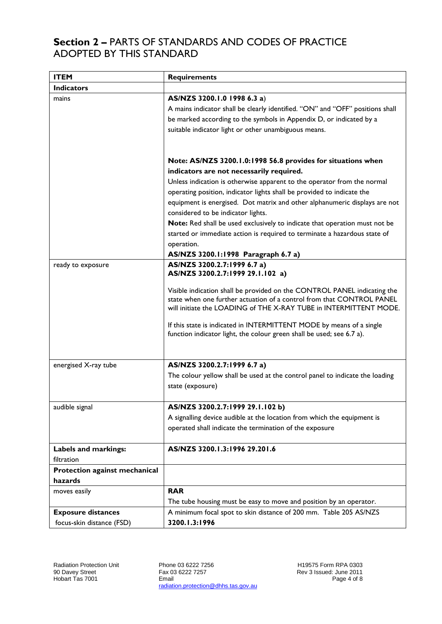### **Section 2 –** PARTS OF STANDARDS AND CODES OF PRACTICE ADOPTED BY THIS STANDARD

| <b>ITEM</b>                   | <b>Requirements</b>                                                                                                                                                                                                    |
|-------------------------------|------------------------------------------------------------------------------------------------------------------------------------------------------------------------------------------------------------------------|
| <b>Indicators</b>             |                                                                                                                                                                                                                        |
| mains                         | AS/NZS 3200.1.0 1998 6.3 a)                                                                                                                                                                                            |
|                               | A mains indicator shall be clearly identified. "ON" and "OFF" positions shall                                                                                                                                          |
|                               | be marked according to the symbols in Appendix D, or indicated by a                                                                                                                                                    |
|                               | suitable indicator light or other unambiguous means.                                                                                                                                                                   |
|                               |                                                                                                                                                                                                                        |
|                               |                                                                                                                                                                                                                        |
|                               | Note: AS/NZS 3200.1.0:1998 56.8 provides for situations when                                                                                                                                                           |
|                               | indicators are not necessarily required.                                                                                                                                                                               |
|                               | Unless indication is otherwise apparent to the operator from the normal                                                                                                                                                |
|                               | operating position, indicator lights shall be provided to indicate the                                                                                                                                                 |
|                               | equipment is energised. Dot matrix and other alphanumeric displays are not                                                                                                                                             |
|                               | considered to be indicator lights.                                                                                                                                                                                     |
|                               | Note: Red shall be used exclusively to indicate that operation must not be                                                                                                                                             |
|                               | started or immediate action is required to terminate a hazardous state of                                                                                                                                              |
|                               | operation.                                                                                                                                                                                                             |
|                               | AS/NZS 3200.1:1998 Paragraph 6.7 a)                                                                                                                                                                                    |
| ready to exposure             | AS/NZS 3200.2.7:1999 6.7 a)<br>AS/NZS 3200.2.7:1999 29.1.102 a)                                                                                                                                                        |
|                               | Visible indication shall be provided on the CONTROL PANEL indicating the<br>state when one further actuation of a control from that CONTROL PANEL<br>will initiate the LOADING of THE X-RAY TUBE in INTERMITTENT MODE. |
|                               | If this state is indicated in INTERMITTENT MODE by means of a single<br>function indicator light, the colour green shall be used; see 6.7 a).                                                                          |
|                               | AS/NZS 3200.2.7:1999 6.7 a)                                                                                                                                                                                            |
| energised X-ray tube          | The colour yellow shall be used at the control panel to indicate the loading                                                                                                                                           |
|                               | state (exposure)                                                                                                                                                                                                       |
| audible signal                | AS/NZS 3200.2.7:1999 29.1.102 b)                                                                                                                                                                                       |
|                               | A signalling device audible at the location from which the equipment is                                                                                                                                                |
|                               | operated shall indicate the termination of the exposure                                                                                                                                                                |
|                               |                                                                                                                                                                                                                        |
| Labels and markings:          | AS/NZS 3200.1.3:1996 29.201.6                                                                                                                                                                                          |
| filtration                    |                                                                                                                                                                                                                        |
| Protection against mechanical |                                                                                                                                                                                                                        |
| hazards                       |                                                                                                                                                                                                                        |
| moves easily                  | <b>RAR</b>                                                                                                                                                                                                             |
|                               | The tube housing must be easy to move and position by an operator.                                                                                                                                                     |
| <b>Exposure distances</b>     | A minimum focal spot to skin distance of 200 mm. Table 205 AS/NZS                                                                                                                                                      |
| focus-skin distance (FSD)     | 3200.1.3:1996                                                                                                                                                                                                          |

Phone 03 6222 7256 Fax 03 6222 7257 Email radiation.protection@dhhs.tas.gov.au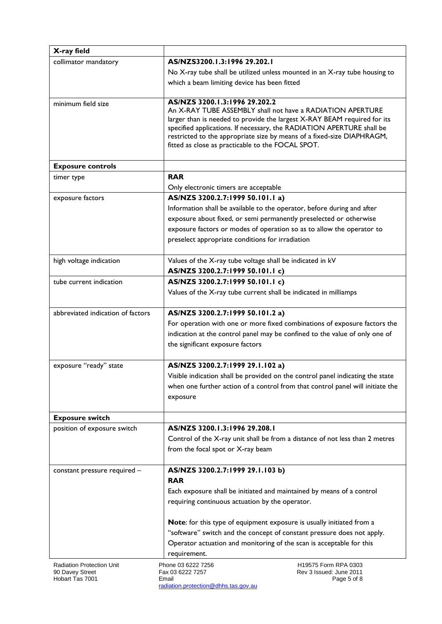| X-ray field                                  |                                                                         |                                                                                |
|----------------------------------------------|-------------------------------------------------------------------------|--------------------------------------------------------------------------------|
| collimator mandatory                         | AS/NZS3200.1.3:1996 29.202.1                                            |                                                                                |
|                                              |                                                                         | No X-ray tube shall be utilized unless mounted in an X-ray tube housing to     |
|                                              | which a beam limiting device has been fitted                            |                                                                                |
| minimum field size                           | AS/NZS 3200.1.3:1996 29.202.2                                           |                                                                                |
|                                              | An X-RAY TUBE ASSEMBLY shall not have a RADIATION APERTURE              |                                                                                |
|                                              |                                                                         | larger than is needed to provide the largest X-RAY BEAM required for its       |
|                                              | specified applications. If necessary, the RADIATION APERTURE shall be   |                                                                                |
|                                              | fitted as close as practicable to the FOCAL SPOT.                       | restricted to the appropriate size by means of a fixed-size DIAPHRAGM,         |
|                                              |                                                                         |                                                                                |
| <b>Exposure controls</b>                     |                                                                         |                                                                                |
| timer type                                   | <b>RAR</b>                                                              |                                                                                |
|                                              | Only electronic timers are acceptable                                   |                                                                                |
| exposure factors                             | AS/NZS 3200.2.7:1999 50.101.1 a)                                        |                                                                                |
|                                              | Information shall be available to the operator, before during and after |                                                                                |
|                                              | exposure about fixed, or semi permanently preselected or otherwise      |                                                                                |
|                                              | exposure factors or modes of operation so as to allow the operator to   |                                                                                |
|                                              | preselect appropriate conditions for irradiation                        |                                                                                |
| high voltage indication                      | Values of the X-ray tube voltage shall be indicated in kV               |                                                                                |
|                                              | AS/NZS 3200.2.7:1999 50.101.1 c)                                        |                                                                                |
| tube current indication                      | AS/NZS 3200.2.7:1999 50.101.1 c)                                        |                                                                                |
|                                              | Values of the X-ray tube current shall be indicated in milliamps        |                                                                                |
| abbreviated indication of factors            | AS/NZS 3200.2.7:1999 50.101.2 a)                                        |                                                                                |
|                                              |                                                                         | For operation with one or more fixed combinations of exposure factors the      |
|                                              |                                                                         | indication at the control panel may be confined to the value of only one of    |
|                                              | the significant exposure factors                                        |                                                                                |
| exposure "ready" state                       | AS/NZS 3200.2.7:1999 29.1.102 a)                                        |                                                                                |
|                                              |                                                                         | Visible indication shall be provided on the control panel indicating the state |
|                                              |                                                                         | when one further action of a control from that control panel will initiate the |
|                                              | exposure                                                                |                                                                                |
| <b>Exposure switch</b>                       |                                                                         |                                                                                |
| position of exposure switch                  | AS/NZS 3200.1.3:1996 29.208.1                                           |                                                                                |
|                                              |                                                                         | Control of the X-ray unit shall be from a distance of not less than 2 metres   |
|                                              | from the focal spot or X-ray beam                                       |                                                                                |
|                                              | AS/NZS 3200.2.7:1999 29.1.103 b)                                        |                                                                                |
| constant pressure required -                 | <b>RAR</b>                                                              |                                                                                |
|                                              | Each exposure shall be initiated and maintained by means of a control   |                                                                                |
|                                              | requiring continuous actuation by the operator.                         |                                                                                |
|                                              |                                                                         |                                                                                |
|                                              | Note: for this type of equipment exposure is usually initiated from a   |                                                                                |
|                                              | "software" switch and the concept of constant pressure does not apply.  |                                                                                |
|                                              | Operator actuation and monitoring of the scan is acceptable for this    |                                                                                |
|                                              | requirement.                                                            |                                                                                |
| Radiation Protection Unit<br>90 Davey Street | Phone 03 6222 7256<br>Fax 03 6222 7257                                  | H19575 Form RPA 0303<br>Rev 3 Issued: June 2011                                |
| Hobart Tas 7001                              | Email                                                                   | Page 5 of 8                                                                    |

radiation.protection@dhhs.tas.gov.au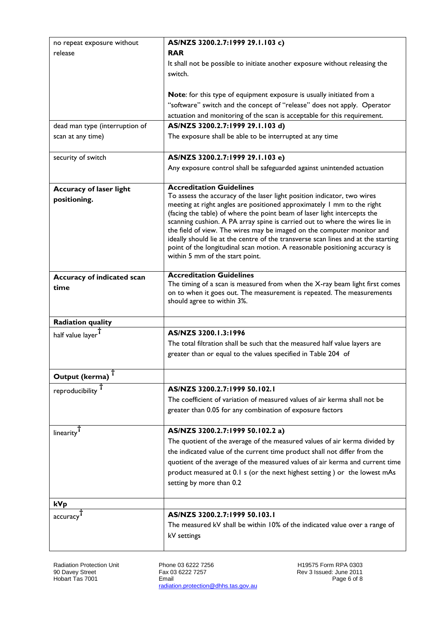| no repeat exposure without     | AS/NZS 3200.2.7:1999 29.1.103 c)                                                                                                                        |  |
|--------------------------------|---------------------------------------------------------------------------------------------------------------------------------------------------------|--|
| release                        | <b>RAR</b>                                                                                                                                              |  |
|                                | It shall not be possible to initiate another exposure without releasing the                                                                             |  |
|                                | switch.                                                                                                                                                 |  |
|                                |                                                                                                                                                         |  |
|                                | Note: for this type of equipment exposure is usually initiated from a                                                                                   |  |
|                                | "software" switch and the concept of "release" does not apply. Operator                                                                                 |  |
|                                | actuation and monitoring of the scan is acceptable for this requirement.                                                                                |  |
| dead man type (interruption of | AS/NZS 3200.2.7:1999 29.1.103 d)                                                                                                                        |  |
| scan at any time)              | The exposure shall be able to be interrupted at any time                                                                                                |  |
| security of switch             | AS/NZS 3200.2.7:1999 29.1.103 e)                                                                                                                        |  |
|                                | Any exposure control shall be safeguarded against unintended actuation                                                                                  |  |
| <b>Accuracy of laser light</b> | <b>Accreditation Guidelines</b>                                                                                                                         |  |
| positioning.                   | To assess the accuracy of the laser light position indicator, two wires                                                                                 |  |
|                                | meeting at right angles are positioned approximately 1 mm to the right                                                                                  |  |
|                                | (facing the table) of where the point beam of laser light intercepts the<br>scanning cushion. A PA array spine is carried out to where the wires lie in |  |
|                                | the field of view. The wires may be imaged on the computer monitor and                                                                                  |  |
|                                | ideally should lie at the centre of the transverse scan lines and at the starting                                                                       |  |
|                                | point of the longitudinal scan motion. A reasonable positioning accuracy is                                                                             |  |
|                                | within 5 mm of the start point.                                                                                                                         |  |
| Accuracy of indicated scan     | <b>Accreditation Guidelines</b>                                                                                                                         |  |
| time                           | The timing of a scan is measured from when the X-ray beam light first comes                                                                             |  |
|                                | on to when it goes out. The measurement is repeated. The measurements                                                                                   |  |
|                                | should agree to within 3%.                                                                                                                              |  |
| <b>Radiation quality</b>       |                                                                                                                                                         |  |
| half value layer               | AS/NZS 3200.1.3:1996                                                                                                                                    |  |
|                                | The total filtration shall be such that the measured half value layers are                                                                              |  |
|                                | greater than or equal to the values specified in Table 204 of                                                                                           |  |
| Output (kerma) <sup>T</sup>    |                                                                                                                                                         |  |
|                                | AS/NZS 3200.2.7:1999 50.102.1                                                                                                                           |  |
| reproducibility <sup>T</sup>   | The coefficient of variation of measured values of air kerma shall not be                                                                               |  |
|                                |                                                                                                                                                         |  |
|                                | greater than 0.05 for any combination of exposure factors                                                                                               |  |
| linearity <sup>T</sup>         | AS/NZS 3200.2.7:1999 50.102.2 a)                                                                                                                        |  |
|                                | The quotient of the average of the measured values of air kerma divided by                                                                              |  |
|                                | the indicated value of the current time product shall not differ from the                                                                               |  |
|                                | quotient of the average of the measured values of air kerma and current time                                                                            |  |
|                                | product measured at 0.1 s (or the next highest setting) or the lowest mAs                                                                               |  |
|                                | setting by more than 0.2                                                                                                                                |  |
| kVp                            |                                                                                                                                                         |  |
|                                | AS/NZS 3200.2.7:1999 50.103.1                                                                                                                           |  |
| accuracy                       | The measured kV shall be within 10% of the indicated value over a range of                                                                              |  |
|                                | kV settings                                                                                                                                             |  |
|                                |                                                                                                                                                         |  |

Radiation Protection Unit 90 Davey Street Hobart Tas 7001

Phone 03 6222 7256 Fax 03 6222 7257 Email radiation.protection@dhhs.tas.gov.au H19575 Form RPA 0303 Rev 3 Issued: June 2011 Page 6 of 8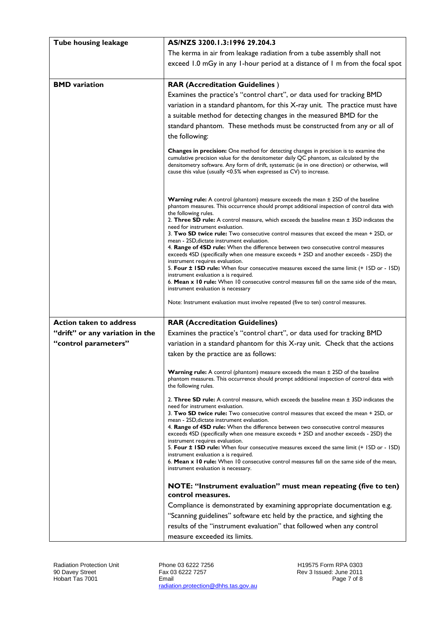| Tube housing leakage            | AS/NZS 3200.1.3:1996 29.204.3                                                                                                                                                                                                                                                                                                                                                                                                                                                                                                                                                                                                                                                                                                                                        |
|---------------------------------|----------------------------------------------------------------------------------------------------------------------------------------------------------------------------------------------------------------------------------------------------------------------------------------------------------------------------------------------------------------------------------------------------------------------------------------------------------------------------------------------------------------------------------------------------------------------------------------------------------------------------------------------------------------------------------------------------------------------------------------------------------------------|
|                                 | The kerma in air from leakage radiation from a tube assembly shall not                                                                                                                                                                                                                                                                                                                                                                                                                                                                                                                                                                                                                                                                                               |
|                                 | exceed 1.0 mGy in any 1-hour period at a distance of 1 m from the focal spot                                                                                                                                                                                                                                                                                                                                                                                                                                                                                                                                                                                                                                                                                         |
|                                 |                                                                                                                                                                                                                                                                                                                                                                                                                                                                                                                                                                                                                                                                                                                                                                      |
| <b>BMD</b> variation            | <b>RAR (Accreditation Guidelines)</b>                                                                                                                                                                                                                                                                                                                                                                                                                                                                                                                                                                                                                                                                                                                                |
|                                 | Examines the practice's "control chart", or data used for tracking BMD                                                                                                                                                                                                                                                                                                                                                                                                                                                                                                                                                                                                                                                                                               |
|                                 | variation in a standard phantom, for this X-ray unit. The practice must have                                                                                                                                                                                                                                                                                                                                                                                                                                                                                                                                                                                                                                                                                         |
|                                 | a suitable method for detecting changes in the measured BMD for the                                                                                                                                                                                                                                                                                                                                                                                                                                                                                                                                                                                                                                                                                                  |
|                                 | standard phantom. These methods must be constructed from any or all of                                                                                                                                                                                                                                                                                                                                                                                                                                                                                                                                                                                                                                                                                               |
|                                 | the following:                                                                                                                                                                                                                                                                                                                                                                                                                                                                                                                                                                                                                                                                                                                                                       |
|                                 | <b>Changes in precision:</b> One method for detecting changes in precision is to examine the<br>cumulative precision value for the densitometer daily QC phantom, as calculated by the<br>densitometry software. Any form of drift, systematic (ie in one direction) or otherwise, will<br>cause this value (usually <0.5% when expressed as CV) to increase.                                                                                                                                                                                                                                                                                                                                                                                                        |
|                                 | <b>Warning rule:</b> A control (phantom) measure exceeds the mean $\pm$ 2SD of the baseline<br>phantom measures. This occurrence should prompt additional inspection of control data with<br>the following rules.<br>2. Three SD rule: A control measure, which exceeds the baseline mean $\pm$ 3SD indicates the<br>need for instrument evaluation.<br>3. Two SD twice rule: Two consecutive control measures that exceed the mean + 2SD, or<br>mean - 2SD, dictate instrument evaluation.<br>4. Range of 4SD rule: When the difference between two consecutive control measures<br>exceeds 4SD (specifically when one measure exceeds + 2SD and another exceeds - 2SD) the                                                                                         |
|                                 | instrument requires evaluation.<br>5. Four ± ISD rule: When four consecutive measures exceed the same limit (+ ISD or - ISD)                                                                                                                                                                                                                                                                                                                                                                                                                                                                                                                                                                                                                                         |
|                                 | instrument evaluation a is required.<br>6. Mean x 10 rule: When 10 consecutive control measures fall on the same side of the mean,                                                                                                                                                                                                                                                                                                                                                                                                                                                                                                                                                                                                                                   |
|                                 | instrument evaluation is necessary                                                                                                                                                                                                                                                                                                                                                                                                                                                                                                                                                                                                                                                                                                                                   |
|                                 | Note: Instrument evaluation must involve repeated (five to ten) control measures.                                                                                                                                                                                                                                                                                                                                                                                                                                                                                                                                                                                                                                                                                    |
| <b>Action taken to address</b>  | <b>RAR (Accreditation Guidelines)</b>                                                                                                                                                                                                                                                                                                                                                                                                                                                                                                                                                                                                                                                                                                                                |
| "drift" or any variation in the | Examines the practice's "control chart", or data used for tracking BMD                                                                                                                                                                                                                                                                                                                                                                                                                                                                                                                                                                                                                                                                                               |
| "control parameters"            | variation in a standard phantom for this X-ray unit. Check that the actions                                                                                                                                                                                                                                                                                                                                                                                                                                                                                                                                                                                                                                                                                          |
|                                 | taken by the practice are as follows:                                                                                                                                                                                                                                                                                                                                                                                                                                                                                                                                                                                                                                                                                                                                |
|                                 | <b>Warning rule:</b> A control (phantom) measure exceeds the mean ± 2SD of the baseline<br>phantom measures. This occurrence should prompt additional inspection of control data with<br>the following rules.                                                                                                                                                                                                                                                                                                                                                                                                                                                                                                                                                        |
|                                 | 2. Three SD rule: A control measure, which exceeds the baseline mean $\pm$ 3SD indicates the<br>need for instrument evaluation.<br>3. Two SD twice rule: Two consecutive control measures that exceed the mean + 2SD, or<br>mean - 2SD, dictate instrument evaluation.<br>4. Range of 4SD rule: When the difference between two consecutive control measures<br>exceeds 4SD (specifically when one measure exceeds + 2SD and another exceeds - 2SD) the<br>instrument requires evaluation.<br>5. Four ± ISD rule: When four consecutive measures exceed the same limit (+ ISD or - ISD)<br>instrument evaluation a is required.<br>6. Mean x 10 rule: When 10 consecutive control measures fall on the same side of the mean,<br>instrument evaluation is necessary. |
|                                 | NOTE: "Instrument evaluation" must mean repeating (five to ten)<br>control measures.                                                                                                                                                                                                                                                                                                                                                                                                                                                                                                                                                                                                                                                                                 |
|                                 | Compliance is demonstrated by examining appropriate documentation e.g.                                                                                                                                                                                                                                                                                                                                                                                                                                                                                                                                                                                                                                                                                               |
|                                 | "Scanning guidelines" software etc held by the practice, and sighting the                                                                                                                                                                                                                                                                                                                                                                                                                                                                                                                                                                                                                                                                                            |
|                                 | results of the "instrument evaluation" that followed when any control                                                                                                                                                                                                                                                                                                                                                                                                                                                                                                                                                                                                                                                                                                |
|                                 | measure exceeded its limits.                                                                                                                                                                                                                                                                                                                                                                                                                                                                                                                                                                                                                                                                                                                                         |

Radiation Protection Unit 90 Davey Street Hobart Tas 7001

Phone 03 6222 7256 Fax 03 6222 7257 Email radiation.protection@dhhs.tas.gov.au H19575 Form RPA 0303 Rev 3 Issued: June 2011 Page 7 of 8